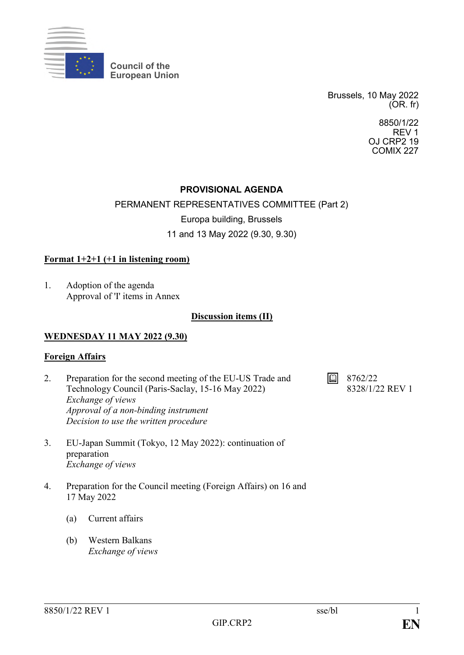

**Council of the European Union**

> Brussels, 10 May 2022 (OR. fr)

> > 8850/1/22 REV 1 OJ CRP2 19 COMIX 227

## **PROVISIONAL AGENDA**

### PERMANENT REPRESENTATIVES COMMITTEE (Part 2)

Europa building, Brussels

11 and 13 May 2022 (9.30, 9.30)

### **Format 1+2+1 (+1 in listening room)**

1. Adoption of the agenda Approval of 'I' items in Annex

### **Discussion items (II)**

### **WEDNESDAY 11 MAY 2022 (9.30)**

### **Foreign Affairs**

- 2. Preparation for the second meeting of the EU-US Trade and Technology Council (Paris-Saclay, 15-16 May 2022) *Exchange of views Approval of a non-binding instrument Decision to use the written procedure*
- 3. EU-Japan Summit (Tokyo, 12 May 2022): continuation of preparation *Exchange of views*
- 4. Preparation for the Council meeting (Foreign Affairs) on 16 and 17 May 2022
	- (a) Current affairs
	- (b) Western Balkans *Exchange of views*

 $\boxed{1}$  8762/22

8328/1/22 REV 1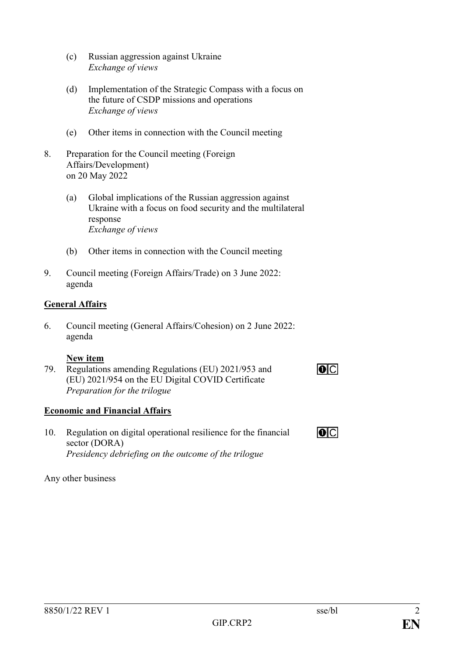- (c) Russian aggression against Ukraine *Exchange of views*
- (d) Implementation of the Strategic Compass with a focus on the future of CSDP missions and operations *Exchange of views*
- (e) Other items in connection with the Council meeting
- 8. Preparation for the Council meeting (Foreign Affairs/Development) on 20 May 2022
	- (a) Global implications of the Russian aggression against Ukraine with a focus on food security and the multilateral response *Exchange of views*
	- (b) Other items in connection with the Council meeting
- 9. Council meeting (Foreign Affairs/Trade) on 3 June 2022: agenda

# **General Affairs**

6. Council meeting (General Affairs/Cohesion) on 2 June 2022: agenda

## **New item**

79. Regulations amending Regulations (EU) 2021/953 and (EU) 2021/954 on the EU Digital COVID Certificate *Preparation for the trilogue*

# **Economic and Financial Affairs**

10. Regulation on digital operational resilience for the financial sector (DORA) *Presidency debriefing on the outcome of the trilogue*

# Any other business

 $\overline{O}$ 

 $\overline{O}$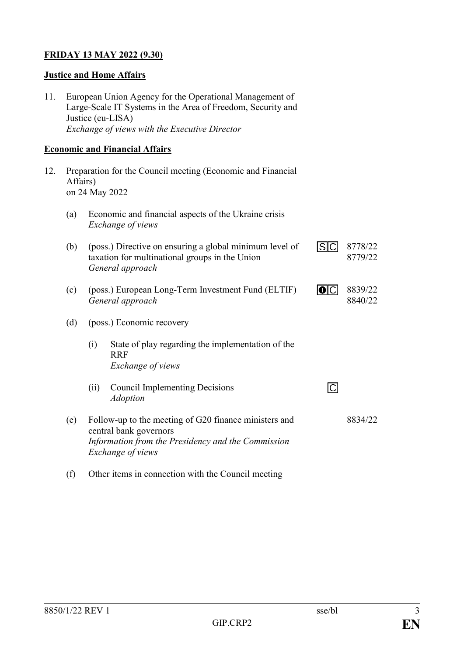## **FRIDAY 13 MAY 2022 (9.30)**

### **Justice and Home Affairs**

11. European Union Agency for the Operational Management of Large-Scale IT Systems in the Area of Freedom, Security and Justice (eu-LISA) *Exchange of views with the Executive Director*

### **Economic and Financial Affairs**

- 12. Preparation for the Council meeting (Economic and Financial Affairs) on 24 May 2022
	- (a) Economic and financial aspects of the Ukraine crisis *Exchange of views*

| (b) |      | (poss.) Directive on ensuring a global minimum level of<br>taxation for multinational groups in the Union<br>General approach                              | 8778/22<br>8779/22 |
|-----|------|------------------------------------------------------------------------------------------------------------------------------------------------------------|--------------------|
| (c) |      | (poss.) European Long-Term Investment Fund (ELTIF)<br>General approach                                                                                     | 8839/22<br>8840/22 |
| (d) |      | (poss.) Economic recovery                                                                                                                                  |                    |
|     | (i)  | State of play regarding the implementation of the<br><b>RRF</b><br>Exchange of views                                                                       |                    |
|     | (ii) | <b>Council Implementing Decisions</b><br><b>Adoption</b>                                                                                                   |                    |
| (e) |      | Follow-up to the meeting of G20 finance ministers and<br>central bank governors<br>Information from the Presidency and the Commission<br>Exchange of views | 8834/22            |

(f) Other items in connection with the Council meeting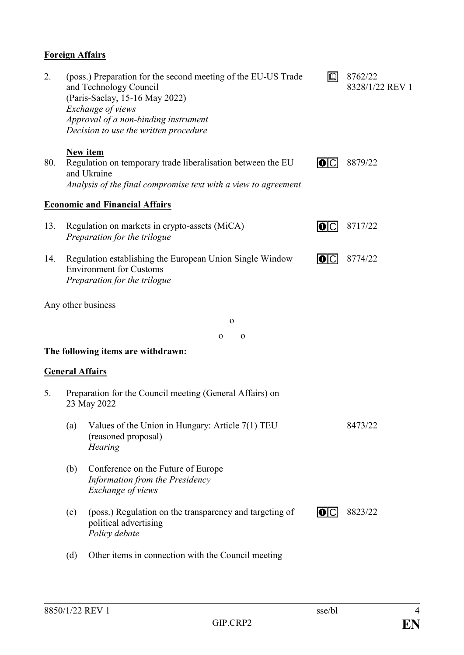# **Foreign Affairs**

| 2.  |     | (poss.) Preparation for the second meeting of the EU-US Trade<br>and Technology Council<br>(Paris-Saclay, 15-16 May 2022)<br>Exchange of views<br>Approval of a non-binding instrument<br>Decision to use the written procedure | $\mathbb{Q}$ | 8762/22<br>8328/1/22 REV 1 |
|-----|-----|---------------------------------------------------------------------------------------------------------------------------------------------------------------------------------------------------------------------------------|--------------|----------------------------|
| 80. |     | <b>New item</b><br>Regulation on temporary trade liberalisation between the EU<br>and Ukraine<br>Analysis of the final compromise text with a view to agreement                                                                 | IOIC         | 8879/22                    |
|     |     | <b>Economic and Financial Affairs</b>                                                                                                                                                                                           |              |                            |
| 13. |     | Regulation on markets in crypto-assets (MiCA)<br>Preparation for the trilogue                                                                                                                                                   | IOIC         | 8717/22                    |
| 14. |     | Regulation establishing the European Union Single Window<br><b>Environment for Customs</b><br>Preparation for the trilogue                                                                                                      | O C          | 8774/22                    |
|     |     | Any other business                                                                                                                                                                                                              |              |                            |
|     |     | $\mathbf{o}$                                                                                                                                                                                                                    |              |                            |
|     |     | $\Omega$<br>$\mathbf 0$                                                                                                                                                                                                         |              |                            |
|     |     | The following items are withdrawn:                                                                                                                                                                                              |              |                            |
|     |     | <b>General Affairs</b>                                                                                                                                                                                                          |              |                            |
| 5.  |     | Preparation for the Council meeting (General Affairs) on<br>23 May 2022                                                                                                                                                         |              |                            |
|     | (a) | Values of the Union in Hungary: Article 7(1) TEU<br>(reasoned proposal)<br><b>Hearing</b>                                                                                                                                       |              | 8473/22                    |
|     | (b) | Conference on the Future of Europe<br>Information from the Presidency<br>Exchange of views                                                                                                                                      |              |                            |
|     | (c) | (poss.) Regulation on the transparency and targeting of<br>political advertising<br>Policy debate                                                                                                                               | IOIC         | 8823/22                    |
|     | (d) | Other items in connection with the Council meeting                                                                                                                                                                              |              |                            |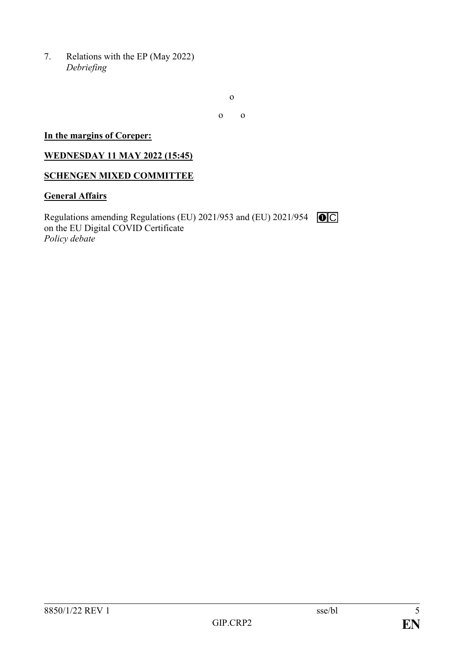7. Relations with the EP (May 2022) *Debriefing*

o

o o

### **In the margins of Coreper:**

### **WEDNESDAY 11 MAY 2022 (15:45)**

### **SCHENGEN MIXED COMMITTEE**

## **General Affairs**

Regulations amending Regulations (EU) 2021/953 and (EU) 2021/954 on the EU Digital COVID Certificate *Policy debate*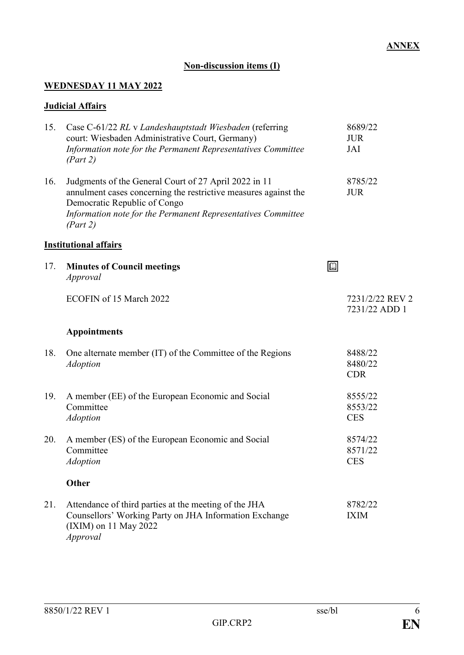# **Non-discussion items (I)**

# **WEDNESDAY 11 MAY 2022**

## **Judicial Affairs**

| 15. | Case C-61/22 RL v Landeshauptstadt Wiesbaden (referring<br>court: Wiesbaden Administrative Court, Germany)<br>Information note for the Permanent Representatives Committee<br>(Part 2)                                               |             | 8689/22<br><b>JUR</b><br>JAI     |
|-----|--------------------------------------------------------------------------------------------------------------------------------------------------------------------------------------------------------------------------------------|-------------|----------------------------------|
| 16. | Judgments of the General Court of 27 April 2022 in 11<br>annulment cases concerning the restrictive measures against the<br>Democratic Republic of Congo<br>Information note for the Permanent Representatives Committee<br>(Part 2) |             | 8785/22<br><b>JUR</b>            |
|     | <b>Institutional affairs</b>                                                                                                                                                                                                         |             |                                  |
| 17. | <b>Minutes of Council meetings</b><br>Approval                                                                                                                                                                                       | $\boxed{D}$ |                                  |
|     | ECOFIN of 15 March 2022                                                                                                                                                                                                              |             | 7231/2/22 REV 2<br>7231/22 ADD 1 |
|     | <b>Appointments</b>                                                                                                                                                                                                                  |             |                                  |
| 18. | One alternate member (IT) of the Committee of the Regions<br><b>Adoption</b>                                                                                                                                                         |             | 8488/22<br>8480/22<br><b>CDR</b> |
| 19. | A member (EE) of the European Economic and Social<br>Committee<br><b>Adoption</b>                                                                                                                                                    |             | 8555/22<br>8553/22<br><b>CES</b> |
| 20. | A member (ES) of the European Economic and Social<br>Committee<br><b>Adoption</b>                                                                                                                                                    |             | 8574/22<br>8571/22<br><b>CES</b> |
|     | <b>Other</b>                                                                                                                                                                                                                         |             |                                  |
| 21. | Attendance of third parties at the meeting of the JHA<br>Counsellors' Working Party on JHA Information Exchange<br>(IXIM) on 11 May 2022<br><i>Approval</i>                                                                          |             | 8782/22<br><b>IXIM</b>           |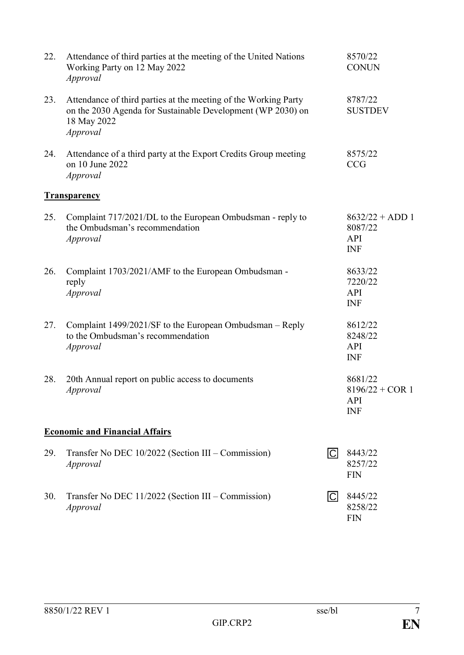| 22. | Attendance of third parties at the meeting of the United Nations<br>Working Party on 12 May 2022<br>Approval                                              |                | 8570/22<br><b>CONUN</b>                                  |
|-----|-----------------------------------------------------------------------------------------------------------------------------------------------------------|----------------|----------------------------------------------------------|
| 23. | Attendance of third parties at the meeting of the Working Party<br>on the 2030 Agenda for Sustainable Development (WP 2030) on<br>18 May 2022<br>Approval |                | 8787/22<br><b>SUSTDEV</b>                                |
| 24. | Attendance of a third party at the Export Credits Group meeting<br>on 10 June 2022<br>Approval                                                            |                | 8575/22<br><b>CCG</b>                                    |
|     | <b>Transparency</b>                                                                                                                                       |                |                                                          |
| 25. | Complaint 717/2021/DL to the European Ombudsman - reply to<br>the Ombudsman's recommendation<br>Approval                                                  |                | $8632/22 + ADD 1$<br>8087/22<br>API<br><b>INF</b>        |
| 26. | Complaint 1703/2021/AMF to the European Ombudsman -<br>reply<br>Approval                                                                                  |                | 8633/22<br>7220/22<br>API<br><b>INF</b>                  |
| 27. | Complaint 1499/2021/SF to the European Ombudsman – Reply<br>to the Ombudsman's recommendation<br>Approval                                                 |                | 8612/22<br>8248/22<br>API<br><b>INF</b>                  |
| 28. | 20th Annual report on public access to documents<br>Approval                                                                                              |                | 8681/22<br>$8196/22 + COR$ 1<br><b>API</b><br><b>INF</b> |
|     | <b>Economic and Financial Affairs</b>                                                                                                                     |                |                                                          |
| 29. | Transfer No DEC 10/2022 (Section III – Commission)<br>Approval                                                                                            | $\overline{C}$ | 8443/22<br>8257/22<br><b>FIN</b>                         |
| 30. | Transfer No DEC 11/2022 (Section III – Commission)<br>Approval                                                                                            | C              | 8445/22<br>8258/22<br><b>FIN</b>                         |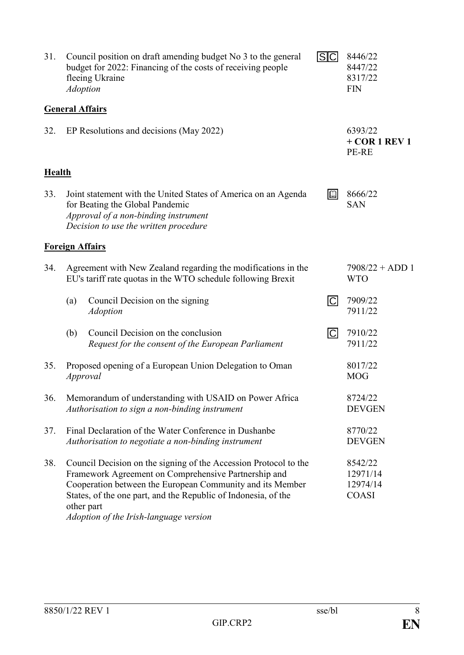| 31.           |                                                                                                                                                                                                                                                                                                                                                                    | Council position on draft amending budget No 3 to the general<br>budget for 2022: Financing of the costs of receiving people<br>fleeing Ukraine<br><b>Adoption</b>                 | S <sub>C</sub>           | 8446/22<br>8447/22<br>8317/22<br><b>FIN</b> |
|---------------|--------------------------------------------------------------------------------------------------------------------------------------------------------------------------------------------------------------------------------------------------------------------------------------------------------------------------------------------------------------------|------------------------------------------------------------------------------------------------------------------------------------------------------------------------------------|--------------------------|---------------------------------------------|
|               |                                                                                                                                                                                                                                                                                                                                                                    | <b>General Affairs</b>                                                                                                                                                             |                          |                                             |
| 32.           |                                                                                                                                                                                                                                                                                                                                                                    | EP Resolutions and decisions (May 2022)                                                                                                                                            |                          | 6393/22<br>$+$ COR 1 REV 1<br>PE-RE         |
| <b>Health</b> |                                                                                                                                                                                                                                                                                                                                                                    |                                                                                                                                                                                    |                          |                                             |
| 33.           |                                                                                                                                                                                                                                                                                                                                                                    | Joint statement with the United States of America on an Agenda<br>for Beating the Global Pandemic<br>Approval of a non-binding instrument<br>Decision to use the written procedure | $\mathbb{Q}$             | 8666/22<br><b>SAN</b>                       |
|               |                                                                                                                                                                                                                                                                                                                                                                    | <b>Foreign Affairs</b>                                                                                                                                                             |                          |                                             |
| 34.           |                                                                                                                                                                                                                                                                                                                                                                    | Agreement with New Zealand regarding the modifications in the<br>EU's tariff rate quotas in the WTO schedule following Brexit                                                      |                          | $7908/22 + ADD 1$<br><b>WTO</b>             |
|               | (a)                                                                                                                                                                                                                                                                                                                                                                | Council Decision on the signing<br><b>Adoption</b>                                                                                                                                 | $\Box$                   | 7909/22<br>7911/22                          |
|               | (b)                                                                                                                                                                                                                                                                                                                                                                | Council Decision on the conclusion<br>Request for the consent of the European Parliament                                                                                           | $\overline{\mathsf{C}}$  | 7910/22<br>7911/22                          |
| 35.           | Proposed opening of a European Union Delegation to Oman<br>Approval                                                                                                                                                                                                                                                                                                |                                                                                                                                                                                    | 8017/22<br><b>MOG</b>    |                                             |
| 36.           | Memorandum of understanding with USAID on Power Africa<br>Authorisation to sign a non-binding instrument                                                                                                                                                                                                                                                           |                                                                                                                                                                                    | 8724/22<br><b>DEVGEN</b> |                                             |
| 37.           | Final Declaration of the Water Conference in Dushanbe<br>Authorisation to negotiate a non-binding instrument                                                                                                                                                                                                                                                       |                                                                                                                                                                                    | 8770/22<br><b>DEVGEN</b> |                                             |
| 38.           | Council Decision on the signing of the Accession Protocol to the<br>8542/22<br>Framework Agreement on Comprehensive Partnership and<br>12971/14<br>Cooperation between the European Community and its Member<br>12974/14<br>States, of the one part, and the Republic of Indonesia, of the<br><b>COASI</b><br>other part<br>Adoption of the Irish-language version |                                                                                                                                                                                    |                          |                                             |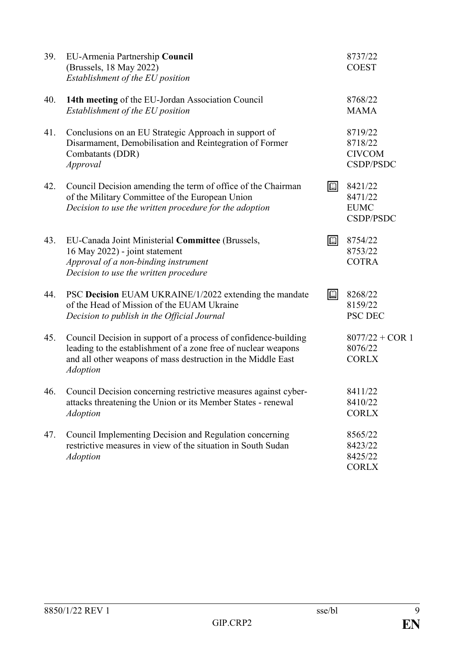| 39. | EU-Armenia Partnership Council<br>(Brussels, 18 May 2022)<br>Establishment of the EU position                                                                                                                        |              | 8737/22<br><b>COEST</b>                                 |
|-----|----------------------------------------------------------------------------------------------------------------------------------------------------------------------------------------------------------------------|--------------|---------------------------------------------------------|
| 40. | 14th meeting of the EU-Jordan Association Council<br>Establishment of the EU position                                                                                                                                |              | 8768/22<br><b>MAMA</b>                                  |
| 41. | Conclusions on an EU Strategic Approach in support of<br>Disarmament, Demobilisation and Reintegration of Former<br>Combatants (DDR)<br>Approval                                                                     |              | 8719/22<br>8718/22<br><b>CIVCOM</b><br><b>CSDP/PSDC</b> |
| 42. | Council Decision amending the term of office of the Chairman<br>of the Military Committee of the European Union<br>Decision to use the written procedure for the adoption                                            | $\mathbb{Q}$ | 8421/22<br>8471/22<br><b>EUMC</b><br><b>CSDP/PSDC</b>   |
| 43. | EU-Canada Joint Ministerial Committee (Brussels,<br>16 May 2022) - joint statement<br>Approval of a non-binding instrument<br>Decision to use the written procedure                                                  | $\mathbb{Q}$ | 8754/22<br>8753/22<br><b>COTRA</b>                      |
| 44. | PSC Decision EUAM UKRAINE/1/2022 extending the mandate<br>of the Head of Mission of the EUAM Ukraine<br>Decision to publish in the Official Journal                                                                  | $\boxed{1}$  | 8268/22<br>8159/22<br><b>PSC DEC</b>                    |
| 45. | Council Decision in support of a process of confidence-building<br>leading to the establishment of a zone free of nuclear weapons<br>and all other weapons of mass destruction in the Middle East<br><b>Adoption</b> |              | $8077/22 + COR$ 1<br>8076/22<br><b>CORLX</b>            |
| 46. | Council Decision concerning restrictive measures against cyber-<br>attacks threatening the Union or its Member States - renewal<br><b>Adoption</b>                                                                   |              | 8411/22<br>8410/22<br><b>CORLX</b>                      |
| 47. | Council Implementing Decision and Regulation concerning<br>restrictive measures in view of the situation in South Sudan<br><b>Adoption</b>                                                                           |              | 8565/22<br>8423/22<br>8425/22<br><b>CORLX</b>           |